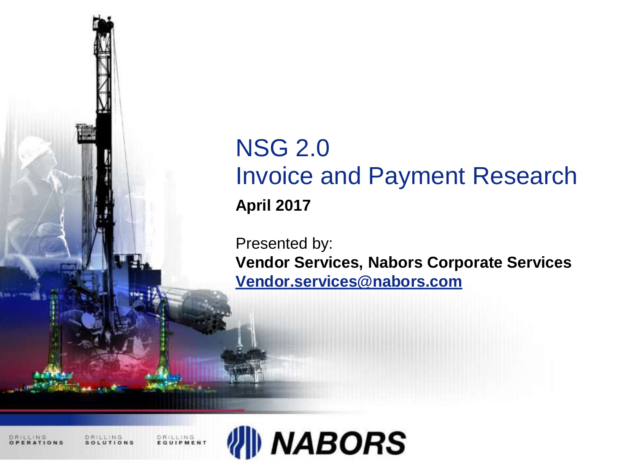

# NSG 2.0 Invoice and Payment Research **April 2017**

Presented by: **Vendor Services, Nabors Corporate Services [Vendor.services@nabors.com](mailto:Vendor.services@nabors.com)**

DRILLING

DRILLING<br>EQUIPMENT

DRILLING

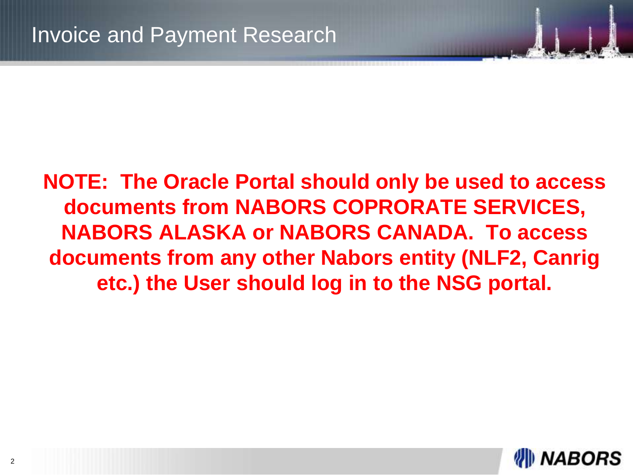**NOTE: The Oracle Portal should only be used to access documents from NABORS COPRORATE SERVICES, NABORS ALASKA or NABORS CANADA. To access documents from any other Nabors entity (NLF2, Canrig etc.) the User should log in to the NSG portal.**

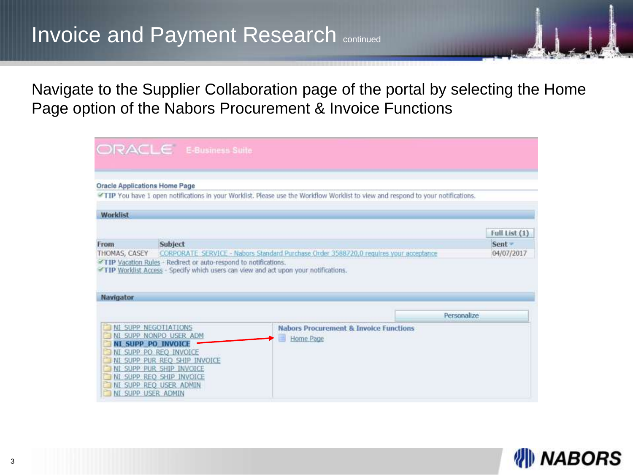Navigate to the Supplier Collaboration page of the portal by selecting the Home Page option of the Nabors Procurement & Invoice Functions

|                  | ORACLE E-Business Suite                             |                                                                                                                                 |             |               |
|------------------|-----------------------------------------------------|---------------------------------------------------------------------------------------------------------------------------------|-------------|---------------|
|                  |                                                     |                                                                                                                                 |             |               |
|                  |                                                     |                                                                                                                                 |             |               |
|                  | <b>Oracle Applications Home Page</b>                |                                                                                                                                 |             |               |
|                  |                                                     | TIP You have 1 open notifications in your Worklist. Please use the Workflow Worklist to view and respond to your notifications. |             |               |
| Worklist         |                                                     |                                                                                                                                 |             |               |
|                  |                                                     |                                                                                                                                 |             | Full List (1) |
| From             | Subject                                             |                                                                                                                                 |             | $Sent =$      |
| THOMAS, CASEY    |                                                     | CORPORATE SERVICE - Nabors Standard Purchase Order 3588720.0 requires your acceptance                                           |             | 04/07/2017    |
| <b>Navigator</b> |                                                     |                                                                                                                                 |             |               |
|                  |                                                     |                                                                                                                                 |             |               |
|                  |                                                     |                                                                                                                                 | Personalize |               |
|                  | <b>NI SUPP NEGOTIATIONS</b>                         | <b>Nabors Procurement &amp; Invoice Functions</b>                                                                               |             |               |
|                  | NI SUPP NONPO USER ADM<br><b>NI SUPP PO INVOICE</b> | Home Page                                                                                                                       |             |               |
|                  | NI SUPP PO REO INVOICE                              |                                                                                                                                 |             |               |
|                  | NI SUPP PUR REO SHIP INVOICE                        |                                                                                                                                 |             |               |
|                  | NI SUPP PUR SHIP INVOICE                            |                                                                                                                                 |             |               |
|                  | NI SUPP REQ SHIP INVOICE<br>NI SUPP REO USER ADMIN  |                                                                                                                                 |             |               |
|                  | NI SUPP USER ADMIN                                  |                                                                                                                                 |             |               |

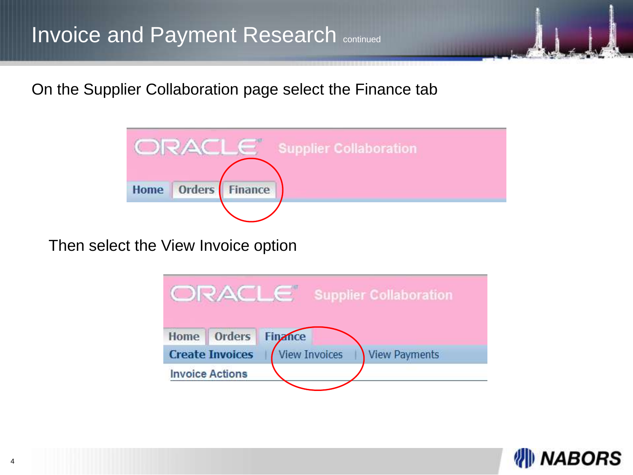On the Supplier Collaboration page select the Finance tab



Then select the View Invoice option

|      | ORACLE                 | <b>Supplier Collaboration</b>                |
|------|------------------------|----------------------------------------------|
| Home | Orders                 | <b>Finance</b>                               |
|      | <b>Create Invoices</b> | <b>View Invoices</b><br><b>View Payments</b> |
|      | <b>Invoice Actions</b> |                                              |

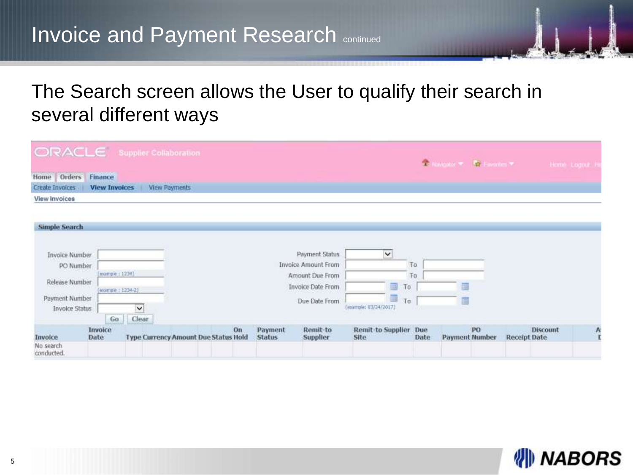### The Search screen allows the User to qualify their search in several different ways

| ORACLE Supplier Collaboration                                                                             |                                            |                                      |    |                          |                                                                                                |                                               |                      | The Harbour Co., 1980 Experience Co. |                             |                     |                 | Home Logour H |
|-----------------------------------------------------------------------------------------------------------|--------------------------------------------|--------------------------------------|----|--------------------------|------------------------------------------------------------------------------------------------|-----------------------------------------------|----------------------|--------------------------------------|-----------------------------|---------------------|-----------------|---------------|
| Home Orders Finance                                                                                       |                                            |                                      |    |                          |                                                                                                |                                               |                      |                                      |                             |                     |                 |               |
| Create Invoices                                                                                           | <b>View Invoices</b>                       | <b>View Payments</b>                 |    |                          |                                                                                                |                                               |                      |                                      |                             |                     |                 |               |
| <b>View Invoices</b>                                                                                      |                                            |                                      |    |                          |                                                                                                |                                               |                      |                                      |                             |                     |                 |               |
| Simple Search<br><b>Invoice Number</b><br>PO Number<br>Release Number<br>Payment Number<br>Invoice Status | (example: 1234)<br>(example: 1234-2)<br>Go | $\check{}$<br>Clear                  |    |                          | Payment Status<br>Invoice Amount From<br>Amount Due From<br>Invoice Date From<br>Due Date From | $\check{}$<br>畐<br>僵<br>(example: 03/24/2017) | To<br>To<br>To<br>To |                                      |                             |                     |                 |               |
| Invoice<br>No search<br>conducted.                                                                        | Invoice<br>Date                            | Type Currency Amount Due Status Hold | On | Payment<br><b>Status</b> | Remit-to<br>Supplier                                                                           | <b>Remit-to Supplier</b><br>Site              | Due<br>Date          |                                      | PO<br><b>Payment Number</b> | <b>Receipt Date</b> | <b>Discount</b> | $\ddot{A}$    |

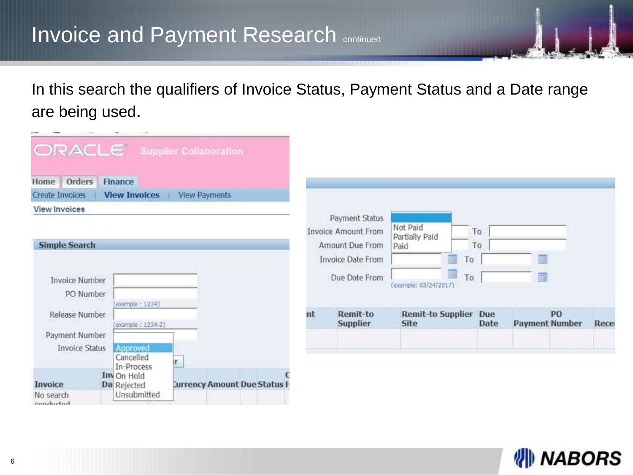In this search the qualifiers of Invoice Status, Payment Status and a Date range are being used.

| <b>DOM:</b>                   | $\sim$                     |                                     |    |                                    |                                         |    |             |   |                             |      |
|-------------------------------|----------------------------|-------------------------------------|----|------------------------------------|-----------------------------------------|----|-------------|---|-----------------------------|------|
| ORACLE Supplier Collaboration |                            |                                     |    |                                    |                                         |    |             |   |                             |      |
| Home Orders                   | <b>Finance</b>             |                                     |    |                                    |                                         |    |             |   |                             |      |
| <b>Create Invoices</b>        | <b>View Invoices</b>       | <b>View Payments</b>                |    |                                    |                                         |    |             |   |                             |      |
| <b>View Invoices</b>          |                            |                                     |    |                                    |                                         |    |             |   |                             |      |
|                               |                            |                                     |    | Payment Status                     | Not Paid                                |    |             |   |                             |      |
|                               |                            |                                     |    | Invoice Amount From                | Partially Paid                          |    | To          |   |                             |      |
| <b>Simple Search</b>          |                            |                                     |    | Amount Due From                    | Paid                                    |    | To          |   |                             |      |
|                               |                            |                                     |    | <b>Invoice Date From</b>           |                                         | To |             |   |                             |      |
| <b>Invoice Number</b>         |                            |                                     |    | Due Date From                      | ⊟<br>(example: 03/24/2017)              | To |             | Ħ |                             |      |
| PO Number                     |                            |                                     |    |                                    |                                         |    |             |   |                             |      |
|                               | example: 1234)             |                                     |    |                                    |                                         |    |             |   |                             |      |
| Release Number                |                            |                                     | nt | <b>Remit-to</b><br><b>Supplier</b> | <b>Remit-to Supplier</b><br><b>Site</b> |    | Due<br>Date |   | PO<br><b>Payment Number</b> | Rece |
| Payment Number                | (example: 1234-2)          |                                     |    |                                    |                                         |    |             |   |                             |      |
| <b>Invoice Status</b>         | Approved                   |                                     |    |                                    |                                         |    |             |   |                             |      |
|                               | Cancelled                  |                                     |    |                                    |                                         |    |             |   |                             |      |
|                               | In-Process                 |                                     |    |                                    |                                         |    |             |   |                             |      |
| <b>Invoice</b>                | Inv On Hold<br>Da Rejected | <b>Currency Amount Due Status H</b> |    |                                    |                                         |    |             |   |                             |      |
| No search<br>conducted        | Unsubmitted                |                                     |    |                                    |                                         |    |             |   |                             |      |

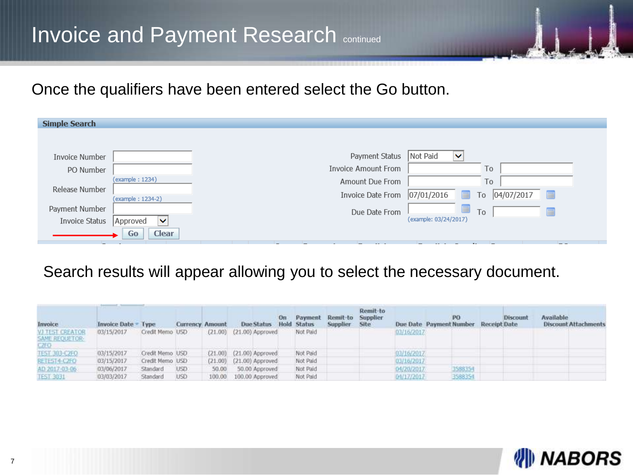Once the qualifiers have been entered select the Go button.

| <b>Simple Search</b> |                          |                     |                                     |
|----------------------|--------------------------|---------------------|-------------------------------------|
|                      |                          |                     |                                     |
| Invoice Number       |                          | Payment Status      | Not Paid<br>$\checkmark$            |
| PO Number            |                          | Invoice Amount From | To                                  |
|                      | (example: 1234)          | Amount Due From     | To                                  |
| Release Number       | (example: 1234-2)        | Invoice Date From   | 07/01/2016<br>04/07/2017<br>To<br>E |
| Payment Number       |                          | Due Date From       | To                                  |
| Invoice Status       | Approved<br>$\checkmark$ |                     | (example: 03/24/2017)               |
|                      | <b>Clear</b><br>Go       |                     |                                     |

#### Search results will appear allowing you to select the necessary document.

| Invoice                                          | Invoice Date Type |                 | <b>Currency Amount</b> |       | Due Status Hold Status       |          | Payment Remit-to Supplier<br>Supplier Site | Remit-to |            | Due Date Payment Number Receipt Date | Discount | Available<br><b>Discount Attachments</b> |
|--------------------------------------------------|-------------------|-----------------|------------------------|-------|------------------------------|----------|--------------------------------------------|----------|------------|--------------------------------------|----------|------------------------------------------|
| VI TEST CREATOR<br><b>SAME REQUETOR:</b><br>CTO. | 03/15/2017        | Credit Memo USD |                        |       | $(21.00)$ $(21.00)$ Approved | Not Paid |                                            |          | 03/16/2017 |                                      |          |                                          |
| TEST 303-CZFO                                    | 03/15/2017        | Credit Memo USD |                        |       | (21.00) (21.00) Approved     | Not Paid |                                            |          | 03/16/2017 |                                      |          |                                          |
| <b>RETEST4-C2FO</b>                              | 03/15/2017        | Credit Memo USD |                        |       | (21.00) (21.00) Approved     | Not Paid |                                            |          | 03/16/2017 |                                      |          |                                          |
| AD 2017-03-06                                    | 03/06/2017        | Standard        | USD:                   | 50.00 | 50.00 Approved               | Not Paid |                                            |          | 04/20/2017 | 3588354                              |          |                                          |
| <b>TEST 3031</b>                                 | 03/03/2017        | Standard        | <b>USD</b>             |       | 100.00 100.00 Approved       | Not Paid |                                            |          | 04/17/2017 | 3588354                              |          |                                          |

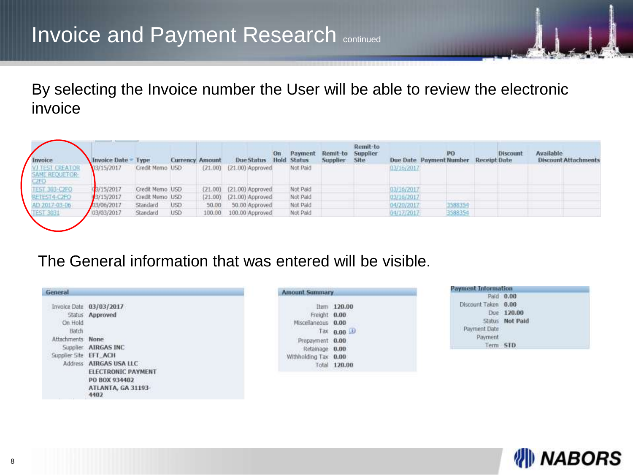By selecting the Invoice number the User will be able to review the electronic invoice

| Invoice                                                | Invoice Date Type |                 | <b>Currency Amount</b> |        | Due Status                   | On. | Payment<br><b>Hold Status</b> | Remit-to Supplier<br>Supplier | Remit-to<br>Site | Due Date Payment Number | PO      | Receipt Date | Discount | Available<br><b>Discount Attachments</b> |
|--------------------------------------------------------|-------------------|-----------------|------------------------|--------|------------------------------|-----|-------------------------------|-------------------------------|------------------|-------------------------|---------|--------------|----------|------------------------------------------|
| <b>VITEST CREATOR</b><br><b>SAME REQUETOR:</b><br>-70. | 03/15/2017        | Credit Memo USD |                        |        | $(21.00)$ $(21.00)$ Approved |     | Not Paid                      |                               |                  | 03/16/2017              |         |              |          |                                          |
| TEST 303-CZFO.                                         | 3/15/2017         | Credit Memo USD |                        |        | (21.00) (21.00) Approved     |     | Not Paid                      |                               |                  | 03/16/2017              |         |              |          |                                          |
| <b>RETEST4-C2FO</b>                                    | 3/15/2017         | Credit Memo USD |                        |        | (21.00) (21.00) Approved     |     | Not Paid                      |                               |                  | 03/16/2017              |         |              |          |                                          |
| AD 2017-03-06                                          | 03/06/2017        | Standard        | USD:                   | 50.00  | 50.00 Approved               |     | Not Paid                      |                               |                  | 04/20/2017              | 3588354 |              |          |                                          |
| <b>TEST 3071</b>                                       | 03/03/2017        | Standard        | USD <sup>1</sup>       | 100.00 | 100.00 Approved              |     | Not Paid                      |                               |                  | 04/17/2017              | 3588354 |              |          |                                          |

#### The General information that was entered will be visible.

| General               |                           | Amour                     |
|-----------------------|---------------------------|---------------------------|
|                       | Invoice Date 03/03/2017   |                           |
|                       | Status Approved           |                           |
| On Hold               |                           | MĿ                        |
| Batch                 |                           |                           |
| Attachments None      |                           | $\label{eq:3} \mathbf{p}$ |
|                       | Supplier AIRGAS INC       |                           |
| Supplier Site EFT ACH |                           | Withh                     |
|                       | Address AIRGAS USA LLC    |                           |
|                       | <b>ELECTRONIC PAYMENT</b> |                           |
|                       | PO BOX 934402             |                           |
|                       | ATLANTA, GA 31193-        |                           |
|                       | 4402                      |                           |

|                      | Item 120.00  |  |
|----------------------|--------------|--|
| Freight 0.00         |              |  |
| Miscellaneous 0.00   |              |  |
|                      | Tax 0.00     |  |
| Prepayment 0.00      |              |  |
| Retainage 0.00       |              |  |
| Withholding Tax 0.00 |              |  |
|                      | Total 120.00 |  |
|                      |              |  |

| Payment Information |                 |
|---------------------|-----------------|
|                     | Paid 0.00       |
| Discount Taken 0.00 |                 |
|                     | Due 120.00      |
|                     | Status Not Paid |
| Payment Date        |                 |
| Payment             |                 |
| Term                |                 |

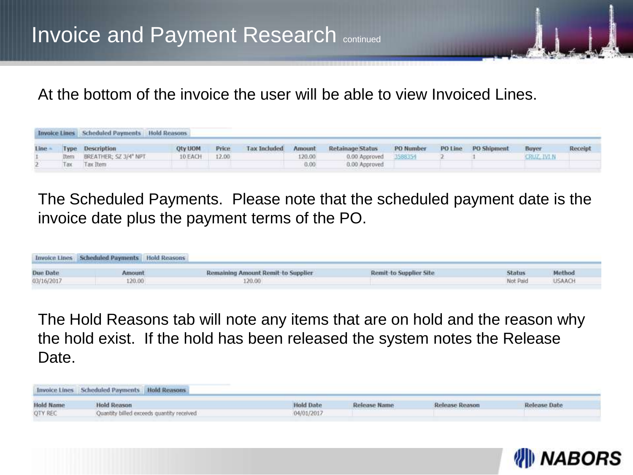At the bottom of the invoice the user will be able to view Invoiced Lines.

|      | <b>Invoice Lines Scheduled Payments Hold Reasons</b> |               |        |                     |        |                       |                  |         |                    |             |         |
|------|------------------------------------------------------|---------------|--------|---------------------|--------|-----------------------|------------------|---------|--------------------|-------------|---------|
| Line | Type Description                                     | Oty UOM       | Price. | <b>Tax Included</b> | Amount | Retainage Status      | <b>PO</b> Number | PO Line | <b>PO Shipment</b> | Buyer       | Receipt |
|      | Item BREATHER; SZ 3/4" NPT                           | 10 EACH 12.00 |        |                     | 120.00 | 0.00 Approved 3588354 |                  |         |                    | CRUZ, IVI N |         |
|      | Tax Tax Item                                         |               |        |                     | 0.00   | 0.00 Approved         |                  |         |                    |             |         |

The Scheduled Payments. Please note that the scheduled payment date is the invoice date plus the payment terms of the PO.

|            | Invoice Lines Scheduled Payments Hold Reasons |                                           |                                                       |               |               |
|------------|-----------------------------------------------|-------------------------------------------|-------------------------------------------------------|---------------|---------------|
| Due Date   | Amount                                        | <b>Remaining Amount Remit-to Supplier</b> | <b>Remit-to Supplier Site</b>                         | <b>Status</b> | Method        |
| 03/16/2017 | 120.00                                        | 120.00                                    | The company's company's part of the company's Company | Not Paid      | <b>USAACH</b> |

The Hold Reasons tab will note any items that are on hold and the reason why the hold exist. If the hold has been released the system notes the Release Date.

|                  | Invoice Lines Scheduled Payments Hold Reasons |                  |              |                       |              |
|------------------|-----------------------------------------------|------------------|--------------|-----------------------|--------------|
| <b>Hold Name</b> | <b>Hold Reason</b>                            | <b>Hold Date</b> | Release Name | <b>Release Reason</b> | Release Date |
| OTY REC          | Quantity billed exceeds quantity received     | 04/01/2017       |              |                       |              |

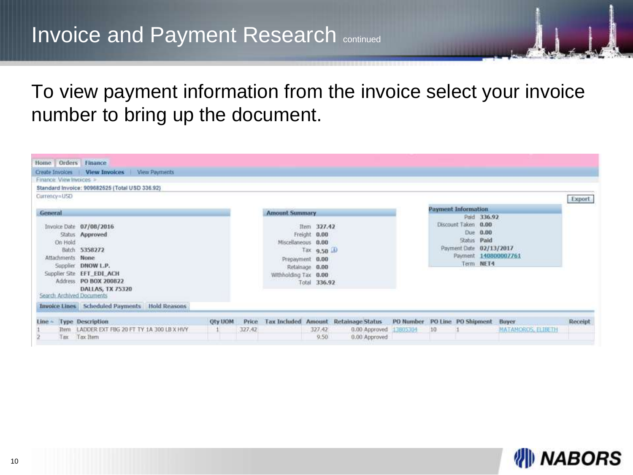### To view payment information from the invoice select your invoice number to bring up the document.

| Home Orders Finance                                      |                                                                                                                                                                    |                |        |                                            |                                                                                                 |                                                                    |    |                                                                                                       |                      |         |  |
|----------------------------------------------------------|--------------------------------------------------------------------------------------------------------------------------------------------------------------------|----------------|--------|--------------------------------------------|-------------------------------------------------------------------------------------------------|--------------------------------------------------------------------|----|-------------------------------------------------------------------------------------------------------|----------------------|---------|--|
|                                                          | Create Invoices   View Invoices   View Payments                                                                                                                    |                |        |                                            |                                                                                                 |                                                                    |    |                                                                                                       |                      |         |  |
| Finance: View Invoices >                                 |                                                                                                                                                                    |                |        |                                            |                                                                                                 |                                                                    |    |                                                                                                       |                      |         |  |
|                                                          | Standard Invoice: 909682525 (Total USD 336.92)                                                                                                                     |                |        |                                            |                                                                                                 |                                                                    |    |                                                                                                       |                      |         |  |
| Currency=USD                                             |                                                                                                                                                                    |                |        |                                            |                                                                                                 |                                                                    |    |                                                                                                       |                      | Export  |  |
| <b>General</b>                                           |                                                                                                                                                                    |                |        | <b>Amount Summary</b>                      |                                                                                                 |                                                                    |    | <b>Payment Information</b>                                                                            |                      |         |  |
| On Hold<br>Attachments None<br>Search Archived Documents | Invoice Date 07/08/2016<br>Status Approved<br>Batch 5358272<br>Supplier DNOW L.P.<br>Supplier Site EFT_EDI_ACH<br>Address PO BOX 200822<br><b>DALLAS, TX 75320</b> |                |        | Miscellaneous 0.00<br>Withholding Tax 0.00 | Item 327.42<br>Freight 0.00<br>Tax 9.50 LD<br>Prepayment 0.00<br>Retainage 0.00<br>Total 336.92 |                                                                    |    | Paid 336.92<br>Discount Taken 0.00<br>Due 0.00<br>Status Paid<br>Payment Date 02/13/2017<br>Term NET4 | Payment 140800007761 |         |  |
|                                                          | Invoice Lines Scheduled Payments Hold Reasons                                                                                                                      |                |        |                                            |                                                                                                 |                                                                    |    |                                                                                                       |                      |         |  |
| $Line \leftarrow Type$ Description                       |                                                                                                                                                                    | <b>Oty UOM</b> | Price  |                                            |                                                                                                 | Tax Included Amount Retainage Status PO Number PO Line PO Shipment |    |                                                                                                       | <b>Buyer</b>         | Receipt |  |
| Tax                                                      | Them LADDER EXT FBG 20 FT TY 1A 300 LB X HVY<br>Tax Item                                                                                                           |                | 327.42 |                                            | 327.42<br>9.50                                                                                  | 0.00 Approved 13805304<br>0.00 Approved                            | 10 |                                                                                                       | MATAMOROS, ELIBETH   |         |  |

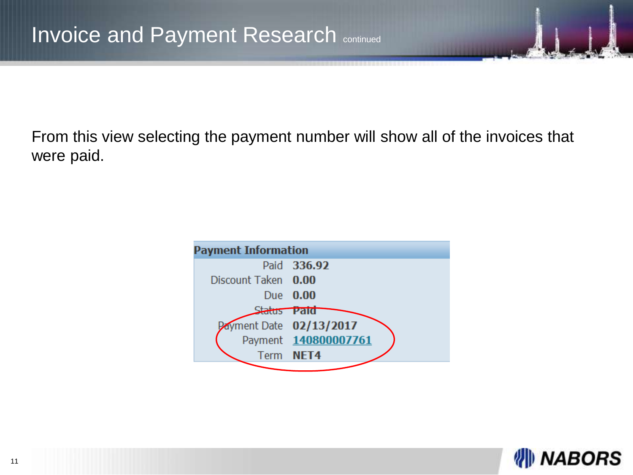From this view selecting the payment number will show all of the invoices that were paid.

| <b>Payment Information</b> |                        |
|----------------------------|------------------------|
|                            | Paid 336.92            |
| Discount Taken 0.00        |                        |
|                            | Due 0.00               |
| tatus <b>Paid</b>          |                        |
|                            | ayment Date 02/13/2017 |
|                            | Payment 140800007761   |
|                            | Term NET4              |
|                            |                        |